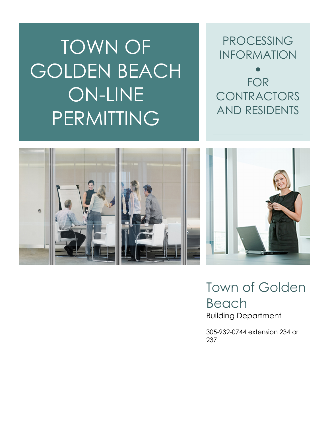TOWN OF GOLDEN BEACH ON-LINE PERMITTING

PROCESSING INFORMATION

• FOR CONTRACTORS AND RESIDENTS



Town of Golden Beach Building Department

305-932-0744 extension 234 or 237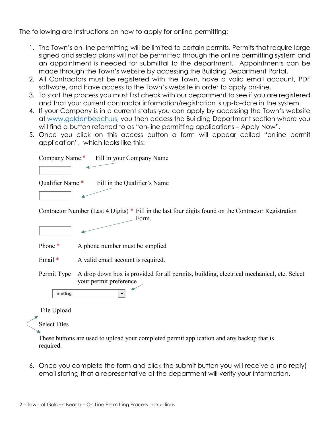The following are Instructions on how to apply for online permitting:

- 1. The Town's on-line permitting will be limited to certain permits. Permits that require large signed and sealed plans will not be permitted through the online permitting system and an appointment is needed for submittal to the department. Appointments can be made through the Town's website by accessing the Building Department Portal.
- 2. All Contractors must be registered with the Town, have a valid email account, PDF software, and have access to the Town's website in order to apply on-line.
- 3. To start the process you must first check with our department to see if you are registered and that your current contractor information/registration is up-to-date in the system.
- 4. If your Company is in a current status you can apply by accessing the Town's website at [www.goldenbeach.us,](http://www.goldenbeach.us/) you then access the Building Department section where you will find a button referred to as "on-line permitting applications - Apply Now".
- 5. Once you click on this access button a form will appear called "online permit application", which looks like this:

| Fill in your Company Name<br>Company Name*                                                                                         |
|------------------------------------------------------------------------------------------------------------------------------------|
|                                                                                                                                    |
| Qualifier Name *<br>Fill in the Qualifier's Name                                                                                   |
|                                                                                                                                    |
| Contractor Number (Last 4 Digits) * Fill in the last four digits found on the Contractor Registration<br>Form.                     |
|                                                                                                                                    |
| Phone *<br>A phone number must be supplied                                                                                         |
| Email $*$<br>A valid email account is required.                                                                                    |
| A drop down box is provided for all permits, building, electrical mechanical, etc. Select<br>Permit Type<br>your permit preference |
| <b>Building</b>                                                                                                                    |
| File Upload                                                                                                                        |
| <b>Select Files</b>                                                                                                                |
| These tenttens are need to noted recent constituted remain continuation and corribed protocol.                                     |

These buttons are used to upload your completed permit application and any backup that is required.

6. Once you complete the form and click the submit button you will receive a (no-reply) email stating that a representative of the department will verify your information.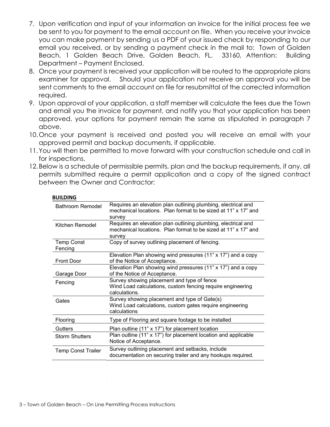- 7. Upon verification and input of your information an invoice for the initial process fee we be sent to you for payment to the email account on file. When you receive your invoice you can make payment by sending us a PDF of your issued check by responding to our email you received, or by sending a payment check in the mail to: Town of Golden Beach, 1 Golden Beach Drive, Golden Beach, FL. 33160, Attention: Building Department – Payment Enclosed.
- 8. Once your payment is received your application will be routed to the appropriate plans examiner for approval. Should your application not receive an approval you will be sent comments to the email account on file for resubmittal of the corrected information required.
- 9. Upon approval of your application, a staff member will calculate the fees due the Town and email you the invoice for payment, and notify you that your application has been approved, your options for payment remain the same as stipulated in paragraph 7 above.
- 10.Once your payment is received and posted you will receive an email with your approved permit and backup documents, if applicable.
- 11.You will then be permitted to move forward with your construction schedule and call in for inspections.
- 12. Below is a schedule of permissible permits, plan and the backup requirements, if any, all permits submitted require a permit application and a copy of the signed contract between the Owner and Contractor:

| Bathroom Remodel             | Requires an elevation plan outlining plumbing, electrical and<br>mechanical locations. Plan format to be sized at 11" x 17" and<br>survey |
|------------------------------|-------------------------------------------------------------------------------------------------------------------------------------------|
| Kitchen Remodel              | Requires an elevation plan outlining plumbing, electrical and<br>mechanical locations. Plan format to be sized at 11" x 17" and<br>survey |
| <b>Temp Const</b><br>Fencing | Copy of survey outlining placement of fencing.                                                                                            |
| <b>Front Door</b>            | Elevation Plan showing wind pressures (11" x 17") and a copy<br>of the Notice of Acceptance.                                              |
| Garage Door                  | Elevation Plan showing wind pressures (11" x 17") and a copy<br>of the Notice of Acceptance.                                              |
| Fencing                      | Survey showing placement and type of fence<br>Wind Load calculations, custom fencing require engineering<br>calculations.                 |
| Gates                        | Survey showing placement and type of Gate(s)<br>Wind Load calculations, custom gates require engineering<br>calculations                  |
| Flooring                     | Type of Flooring and square footage to be installed                                                                                       |
| Gutters                      | Plan outline (11" x 17") for placement location                                                                                           |
| <b>Storm Shutters</b>        | Plan outline (11" x 17") for placement location and applicable<br>Notice of Acceptance.                                                   |
| <b>Temp Const Trailer</b>    | Survey outlining placement and setbacks, include<br>documentation on securing trailer and any hookups required.                           |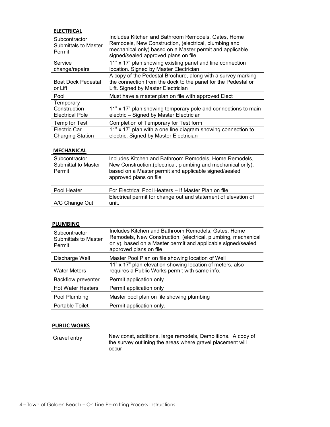## **ELECTRICAL**

| Subcontractor<br><b>Submittals to Master</b><br>Permit | Includes Kitchen and Bathroom Remodels, Gates, Home<br>Remodels, New Construction, (electrical, plumbing and<br>mechanical only) based on a Master permit and applicable<br>signed/sealed approved plans on file |
|--------------------------------------------------------|------------------------------------------------------------------------------------------------------------------------------------------------------------------------------------------------------------------|
| Service<br>change/repairs                              | 11" x 17" plan showing existing panel and line connection<br>location. Signed by Master Electrician                                                                                                              |
| <b>Boat Dock Pedestal</b><br>or Lift                   | A copy of the Pedestal Brochure, along with a survey marking<br>the connection from the dock to the panel for the Pedestal or<br>Lift. Signed by Master Electrician                                              |
| Pool                                                   | Must have a master plan on file with approved Elect                                                                                                                                                              |
| Temporary<br>Construction<br><b>Electrical Pole</b>    | 11" x 17" plan showing temporary pole and connections to main<br>electric - Signed by Master Electrician                                                                                                         |
| Temp for Test                                          | Completion of Temporary for Test form                                                                                                                                                                            |
| Electric Car<br><b>Charging Station</b>                | 11" x 17" plan with a one line diagram showing connection to<br>electric. Signed by Master Electrician                                                                                                           |

## **MECHANICAL**

| Subcontractor<br>Submittal to Master<br>Permit | Includes Kitchen and Bathroom Remodels, Home Remodels,<br>New Construction, (electrical, plumbing and mechanical only),<br>based on a Master permit and applicable signed/sealed<br>approved plans on file |
|------------------------------------------------|------------------------------------------------------------------------------------------------------------------------------------------------------------------------------------------------------------|
| Pool Heater                                    | For Electrical Pool Heaters – If Master Plan on file                                                                                                                                                       |
|                                                | Electrical permit for change out and statement of elevation of                                                                                                                                             |
| A/C Change Out                                 | unit.                                                                                                                                                                                                      |

## **PLUMBING**

| Subcontractor<br><b>Submittals to Master</b><br>Permit | Includes Kitchen and Bathroom Remodels, Gates, Home<br>Remodels, New Construction, (electrical, plumbing, mechanical<br>only). based on a Master permit and applicable signed/sealed<br>approved plans on file |
|--------------------------------------------------------|----------------------------------------------------------------------------------------------------------------------------------------------------------------------------------------------------------------|
| Discharge Well                                         | Master Pool Plan on file showing location of Well                                                                                                                                                              |
| <b>Water Meters</b>                                    | 11" x 17" plan elevation showing location of meters, also<br>requires a Public Works permit with same info.                                                                                                    |
| <b>Backflow preventer</b>                              | Permit application only.                                                                                                                                                                                       |
| <b>Hot Water Heaters</b>                               | Permit application only                                                                                                                                                                                        |
| Pool Plumbing                                          | Master pool plan on file showing plumbing                                                                                                                                                                      |
| <b>Portable Toilet</b>                                 | Permit application only.                                                                                                                                                                                       |

## **PUBLIC WORKS**

| Gravel entry | New const, additions, large remodels, Demolitions. A copy of<br>the survey outlining the areas where gravel placement will |
|--------------|----------------------------------------------------------------------------------------------------------------------------|
|              | occur                                                                                                                      |